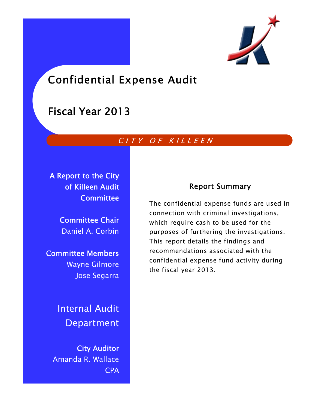

# Confidential Expense Audit

## Fiscal Year 2013

## CITY OF KILLEEN

A Report to the City of Killeen Audit **Committee** 

> Committee Chair Daniel A. Corbin

Committee Members Wayne Gilmore Jose Segarra

> Internal Audit Department

City Auditor Amanda R. Wallace CPA

## Report Summary

The confidential expense funds are used in connection with criminal investigations, which require cash to be used for the purposes of furthering the investigations. This report details the findings and recommendations associated with the confidential expense fund activity during the fiscal year 2013.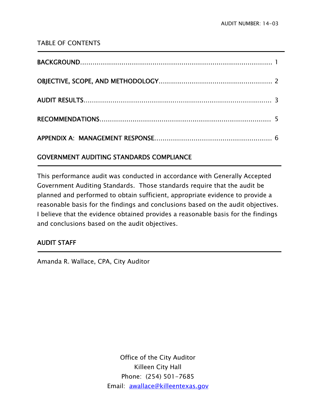#### TABLE OF CONTENTS

### GOVERNMENT AUDITING STANDARDS COMPLIANCE

This performance audit was conducted in accordance with Generally Accepted Government Auditing Standards. Those standards require that the audit be planned and performed to obtain sufficient, appropriate evidence to provide a reasonable basis for the findings and conclusions based on the audit objectives. I believe that the evidence obtained provides a reasonable basis for the findings and conclusions based on the audit objectives.

#### AUDIT STAFF

j

j

Amanda R. Wallace, CPA, City Auditor

Office of the City Auditor Killeen City Hall Phone: (254) 501-7685 Email: awallace@killeentexas.gov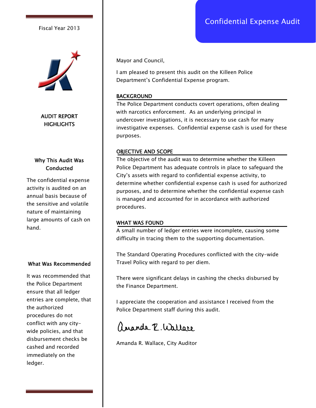## Confidential Expense Audit

#### Fiscal Year 2013



AUDIT REPORT **HIGHLIGHTS** 

#### Why This Audit Was **Conducted**

The confidential expense activity is audited on an annual basis because of the sensitive and volatile nature of maintaining large amounts of cash on hand.

#### What Was Recommended

It was recommended that the Police Department ensure that all ledger entries are complete, that the authorized procedures do not conflict with any citywide policies, and that disbursement checks be cashed and recorded immediately on the ledger.

Mayor and Council,

I am pleased to present this audit on the Killeen Police Department's Confidential Expense program.

#### BACKGROUND

The Police Department conducts covert operations, often dealing with narcotics enforcement. As an underlying principal in undercover investigations, it is necessary to use cash for many investigative expenses. Confidential expense cash is used for these purposes.

#### OBJECTIVE AND SCOPE

The objective of the audit was to determine whether the Killeen Police Department has adequate controls in place to safeguard the City's assets with regard to confidential expense activity, to determine whether confidential expense cash is used for authorized purposes, and to determine whether the confidential expense cash is managed and accounted for in accordance with authorized procedures.

#### WHAT WAS FOUND

A small number of ledger entries were incomplete, causing some difficulty in tracing them to the supporting documentation.

The Standard Operating Procedures conflicted with the city-wide Travel Policy with regard to per diem.

There were significant delays in cashing the checks disbursed by the Finance Department.

I appreciate the cooperation and assistance I received from the Police Department staff during this audit.

ananda P. Wallace

Amanda R. Wallace, City Auditor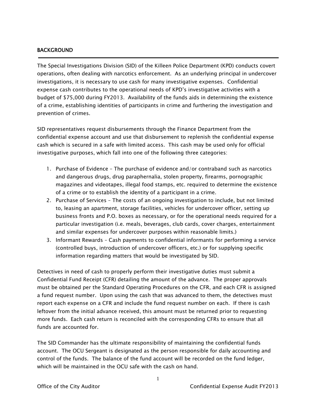#### BACKGROUND

j

The Special Investigations Division (SID) of the Killeen Police Department (KPD) conducts covert operations, often dealing with narcotics enforcement. As an underlying principal in undercover investigations, it is necessary to use cash for many investigative expenses. Confidential expense cash contributes to the operational needs of KPD's investigative activities with a budget of \$75,000 during FY2013. Availability of the funds aids in determining the existence of a crime, establishing identities of participants in crime and furthering the investigation and prevention of crimes.

SID representatives request disbursements through the Finance Department from the confidential expense account and use that disbursement to replenish the confidential expense cash which is secured in a safe with limited access. This cash may be used only for official investigative purposes, which fall into one of the following three categories:

- 1. Purchase of Evidence The purchase of evidence and/or contraband such as narcotics and dangerous drugs, drug paraphernalia, stolen property, firearms, pornographic magazines and videotapes, illegal food stamps, etc. required to determine the existence of a crime or to establish the identity of a participant in a crime.
- 2. Purchase of Services The costs of an ongoing investigation to include, but not limited to, leasing an apartment, storage facilities, vehicles for undercover officer, setting up business fronts and P.O. boxes as necessary, or for the operational needs required for a particular investigation (i.e. meals, beverages, club cards, cover charges, entertainment and similar expenses for undercover purposes within reasonable limits.)
- 3. Informant Rewards Cash payments to confidential informants for performing a service (controlled buys, introduction of undercover officers, etc.) or for supplying specific information regarding matters that would be investigated by SID.

Detectives in need of cash to properly perform their investigative duties must submit a Confidential Fund Receipt (CFR) detailing the amount of the advance. The proper approvals must be obtained per the Standard Operating Procedures on the CFR, and each CFR is assigned a fund request number. Upon using the cash that was advanced to them, the detectives must report each expense on a CFR and include the fund request number on each. If there is cash leftover from the initial advance received, this amount must be returned prior to requesting more funds. Each cash return is reconciled with the corresponding CFRs to ensure that all funds are accounted for.

The SID Commander has the ultimate responsibility of maintaining the confidential funds account. The OCU Sergeant is designated as the person responsible for daily accounting and control of the funds. The balance of the fund account will be recorded on the fund ledger, which will be maintained in the OCU safe with the cash on hand.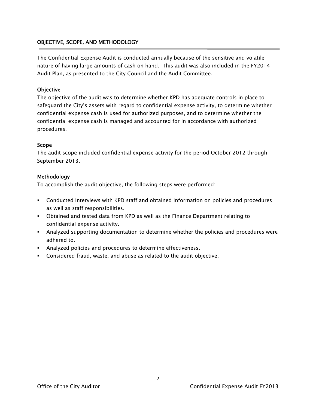#### OBJECTIVE, SCOPE, AND METHODOLOGY

The Confidential Expense Audit is conducted annually because of the sensitive and volatile nature of having large amounts of cash on hand. This audit was also included in the FY2014 Audit Plan, as presented to the City Council and the Audit Committee.

#### **Objective**

The objective of the audit was to determine whether KPD has adequate controls in place to safeguard the City's assets with regard to confidential expense activity, to determine whether confidential expense cash is used for authorized purposes, and to determine whether the confidential expense cash is managed and accounted for in accordance with authorized procedures.

#### Scope

The audit scope included confidential expense activity for the period October 2012 through September 2013.

#### Methodology

To accomplish the audit objective, the following steps were performed:

- Conducted interviews with KPD staff and obtained information on policies and procedures as well as staff responsibilities.
- Obtained and tested data from KPD as well as the Finance Department relating to confidential expense activity.
- Analyzed supporting documentation to determine whether the policies and procedures were adhered to.
- Analyzed policies and procedures to determine effectiveness.
- Considered fraud, waste, and abuse as related to the audit objective.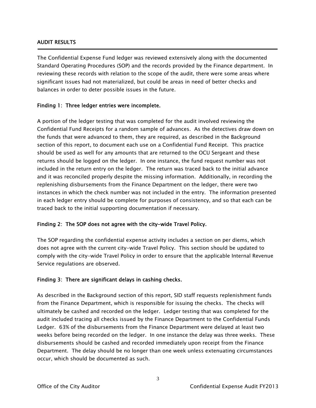#### AUDIT RESULTS

Ī

The Confidential Expense Fund ledger was reviewed extensively along with the documented Standard Operating Procedures (SOP) and the records provided by the Finance department. In reviewing these records with relation to the scope of the audit, there were some areas where significant issues had not materialized, but could be areas in need of better checks and balances in order to deter possible issues in the future.

#### Finding 1: Three ledger entries were incomplete.

A portion of the ledger testing that was completed for the audit involved reviewing the Confidential Fund Receipts for a random sample of advances. As the detectives draw down on the funds that were advanced to them, they are required, as described in the Background section of this report, to document each use on a Confidential Fund Receipt. This practice should be used as well for any amounts that are returned to the OCU Sergeant and these returns should be logged on the ledger. In one instance, the fund request number was not included in the return entry on the ledger. The return was traced back to the initial advance and it was reconciled properly despite the missing information. Additionally, in recording the replenishing disbursements from the Finance Department on the ledger, there were two instances in which the check number was not included in the entry. The information presented in each ledger entry should be complete for purposes of consistency, and so that each can be traced back to the initial supporting documentation if necessary.

#### Finding 2: The SOP does not agree with the city-wide Travel Policy.

The SOP regarding the confidential expense activity includes a section on per diems, which does not agree with the current city-wide Travel Policy. This section should be updated to comply with the city-wide Travel Policy in order to ensure that the applicable Internal Revenue Service regulations are observed.

#### Finding 3: There are significant delays in cashing checks.

As described in the Background section of this report, SID staff requests replenishment funds from the Finance Department, which is responsible for issuing the checks. The checks will ultimately be cashed and recorded on the ledger. Ledger testing that was completed for the audit included tracing all checks issued by the Finance Department to the Confidential Funds Ledger. 63% of the disbursements from the Finance Department were delayed at least two weeks before being recorded on the ledger. In one instance the delay was three weeks. These disbursements should be cashed and recorded immediately upon receipt from the Finance Department. The delay should be no longer than one week unless extenuating circumstances occur, which should be documented as such.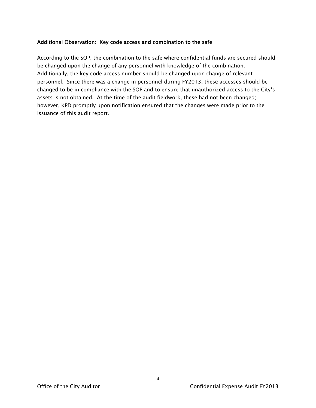#### Additional Observation: Key code access and combination to the safe

According to the SOP, the combination to the safe where confidential funds are secured should be changed upon the change of any personnel with knowledge of the combination. Additionally, the key code access number should be changed upon change of relevant personnel. Since there was a change in personnel during FY2013, these accesses should be changed to be in compliance with the SOP and to ensure that unauthorized access to the City's assets is not obtained. At the time of the audit fieldwork, these had not been changed; however, KPD promptly upon notification ensured that the changes were made prior to the issuance of this audit report.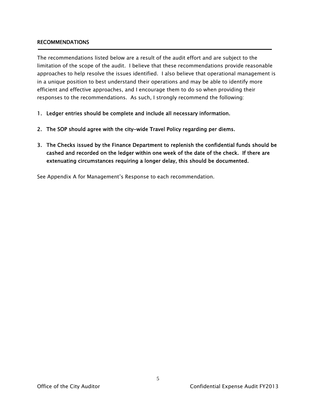#### RECOMMENDATIONS

The recommendations listed below are a result of the audit effort and are subject to the limitation of the scope of the audit. I believe that these recommendations provide reasonable approaches to help resolve the issues identified. I also believe that operational management is in a unique position to best understand their operations and may be able to identify more efficient and effective approaches, and I encourage them to do so when providing their responses to the recommendations. As such, I strongly recommend the following:

- 1. Ledger entries should be complete and include all necessary information.
- 2. The SOP should agree with the city-wide Travel Policy regarding per diems.
- 3. The Checks issued by the Finance Department to replenish the confidential funds should be cashed and recorded on the ledger within one week of the date of the check. If there are extenuating circumstances requiring a longer delay, this should be documented.

See Appendix A for Management's Response to each recommendation.